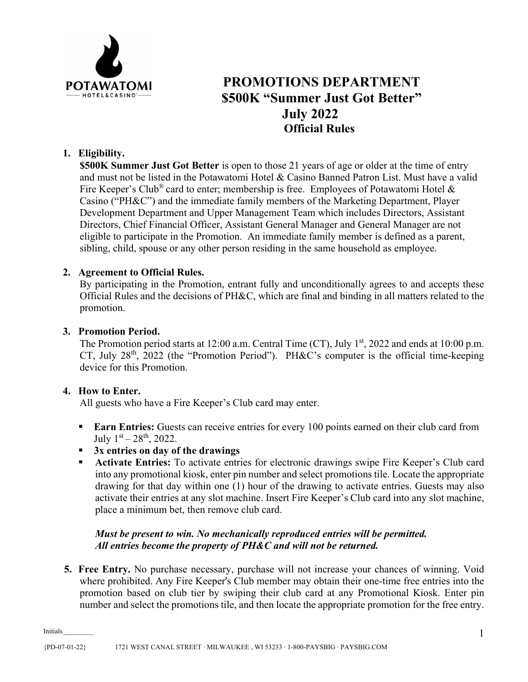

# **PROMOTIONS DEPARTMENT \$500K "Summer Just Got Better" July 2022 Official Rules**

# **1. Eligibility.**

**\$500K Summer Just Got Better** is open to those 21 years of age or older at the time of entry and must not be listed in the Potawatomi Hotel & Casino Banned Patron List. Must have a valid Fire Keeper's Club<sup>®</sup> card to enter; membership is free. Employees of Potawatomi Hotel & Casino ("PH&C") and the immediate family members of the Marketing Department, Player Development Department and Upper Management Team which includes Directors, Assistant Directors, Chief Financial Officer, Assistant General Manager and General Manager are not eligible to participate in the Promotion. An immediate family member is defined as a parent, sibling, child, spouse or any other person residing in the same household as employee.

### **2. Agreement to Official Rules.**

By participating in the Promotion, entrant fully and unconditionally agrees to and accepts these Official Rules and the decisions of PH&C, which are final and binding in all matters related to the promotion.

### **3. Promotion Period.**

The Promotion period starts at 12:00 a.m. Central Time (CT), July  $1<sup>st</sup>$ , 2022 and ends at 10:00 p.m. CT, July  $28<sup>th</sup>$ ,  $2022$  (the "Promotion Period"). PH&C's computer is the official time-keeping device for this Promotion.

### **4. How to Enter.**

All guests who have a Fire Keeper's Club card may enter.

- **Earn Entries:** Guests can receive entries for every 100 points earned on their club card from July  $1<sup>st</sup> - 28<sup>th</sup>$ , 2022.
- **3x entries on day of the drawings**
- **Activate Entries:** To activate entries for electronic drawings swipe Fire Keeper's Club card into any promotional kiosk, enter pin number and select promotions tile. Locate the appropriate drawing for that day within one (1) hour of the drawing to activate entries. Guests may also activate their entries at any slot machine. Insert Fire Keeper's Club card into any slot machine, place a minimum bet, then remove club card.

# *Must be present to win. No mechanically reproduced entries will be permitted. All entries become the property of PH&C and will not be returned.*

**5. Free Entry.** No purchase necessary, purchase will not increase your chances of winning. Void where prohibited. Any Fire Keeper's Club member may obtain their one-time free entries into the promotion based on club tier by swiping their club card at any Promotional Kiosk. Enter pin number and select the promotions tile, and then locate the appropriate promotion for the free entry.

Initials\_\_\_\_\_\_\_\_\_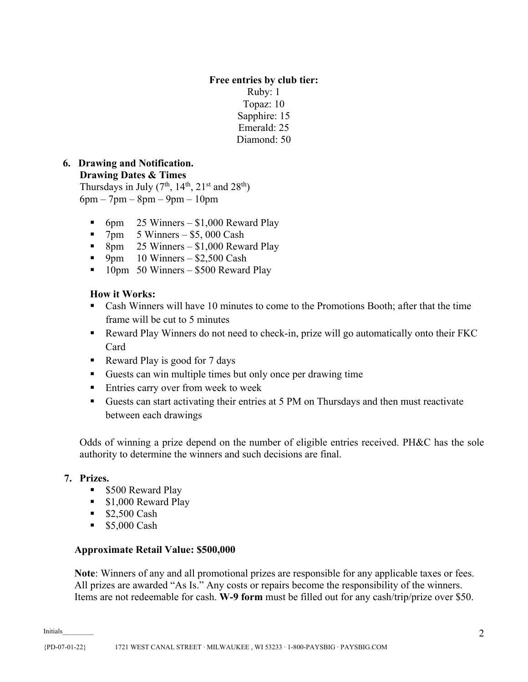### **Free entries by club tier:** Ruby: 1 Topaz: 10 Sapphire: 15 Emerald: 25 Diamond: 50

#### **6. Drawing and Notification. Drawing Dates & Times**

Thursdays in July (7<sup>th</sup>, 14<sup>th</sup>, 21<sup>st</sup> and 28<sup>th</sup>)  $6pm - 7pm - 8pm - 9pm - 10pm$ 

- 6pm 25 Winners \$1,000 Reward Play
- $\blacksquare$  7pm 5 Winners \$5,000 Cash
- 8pm  $25$  Winners \$1,000 Reward Play
- 9pm 10 Winners  $$2,500$  Cash
- $\blacksquare$  10pm 50 Winners \$500 Reward Play

# **How it Works:**

- Cash Winners will have 10 minutes to come to the Promotions Booth; after that the time frame will be cut to 5 minutes
- Reward Play Winners do not need to check-in, prize will go automatically onto their FKC Card
- Reward Play is good for 7 days
- Guests can win multiple times but only once per drawing time
- **Entries carry over from week to week**
- Guests can start activating their entries at 5 PM on Thursdays and then must reactivate between each drawings

Odds of winning a prize depend on the number of eligible entries received. PH&C has the sole authority to determine the winners and such decisions are final.

### **7. Prizes.**

- **S500 Reward Play**
- $\blacksquare$  \$1,000 Reward Play
- $$2,500 \text{ Cash}$
- **55,000 Cash**

### **Approximate Retail Value: \$500,000**

**Note**: Winners of any and all promotional prizes are responsible for any applicable taxes or fees. All prizes are awarded "As Is." Any costs or repairs become the responsibility of the winners. Items are not redeemable for cash. **W-9 form** must be filled out for any cash/trip/prize over \$50.

Initials\_\_\_\_\_\_\_\_\_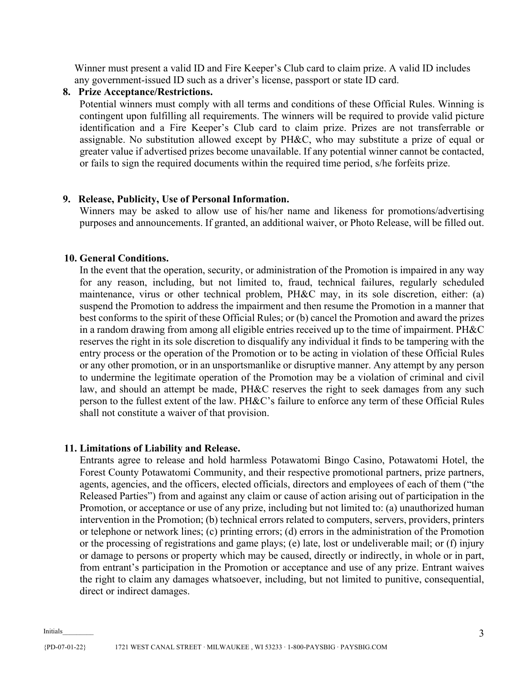Winner must present a valid ID and Fire Keeper's Club card to claim prize. A valid ID includes any government-issued ID such as a driver's license, passport or state ID card.

#### **8. Prize Acceptance/Restrictions.**

Potential winners must comply with all terms and conditions of these Official Rules. Winning is contingent upon fulfilling all requirements. The winners will be required to provide valid picture identification and a Fire Keeper's Club card to claim prize. Prizes are not transferrable or assignable. No substitution allowed except by PH&C, who may substitute a prize of equal or greater value if advertised prizes become unavailable. If any potential winner cannot be contacted, or fails to sign the required documents within the required time period, s/he forfeits prize.

#### **9. Release, Publicity, Use of Personal Information.**

Winners may be asked to allow use of his/her name and likeness for promotions/advertising purposes and announcements. If granted, an additional waiver, or Photo Release, will be filled out.

#### **10. General Conditions.**

In the event that the operation, security, or administration of the Promotion is impaired in any way for any reason, including, but not limited to, fraud, technical failures, regularly scheduled maintenance, virus or other technical problem, PH&C may, in its sole discretion, either: (a) suspend the Promotion to address the impairment and then resume the Promotion in a manner that best conforms to the spirit of these Official Rules; or (b) cancel the Promotion and award the prizes in a random drawing from among all eligible entries received up to the time of impairment. PH&C reserves the right in its sole discretion to disqualify any individual it finds to be tampering with the entry process or the operation of the Promotion or to be acting in violation of these Official Rules or any other promotion, or in an unsportsmanlike or disruptive manner. Any attempt by any person to undermine the legitimate operation of the Promotion may be a violation of criminal and civil law, and should an attempt be made, PH&C reserves the right to seek damages from any such person to the fullest extent of the law. PH&C's failure to enforce any term of these Official Rules shall not constitute a waiver of that provision.

#### **11. Limitations of Liability and Release.**

Entrants agree to release and hold harmless Potawatomi Bingo Casino, Potawatomi Hotel, the Forest County Potawatomi Community, and their respective promotional partners, prize partners, agents, agencies, and the officers, elected officials, directors and employees of each of them ("the Released Parties") from and against any claim or cause of action arising out of participation in the Promotion, or acceptance or use of any prize, including but not limited to: (a) unauthorized human intervention in the Promotion; (b) technical errors related to computers, servers, providers, printers or telephone or network lines; (c) printing errors; (d) errors in the administration of the Promotion or the processing of registrations and game plays; (e) late, lost or undeliverable mail; or (f) injury or damage to persons or property which may be caused, directly or indirectly, in whole or in part, from entrant's participation in the Promotion or acceptance and use of any prize. Entrant waives the right to claim any damages whatsoever, including, but not limited to punitive, consequential, direct or indirect damages.